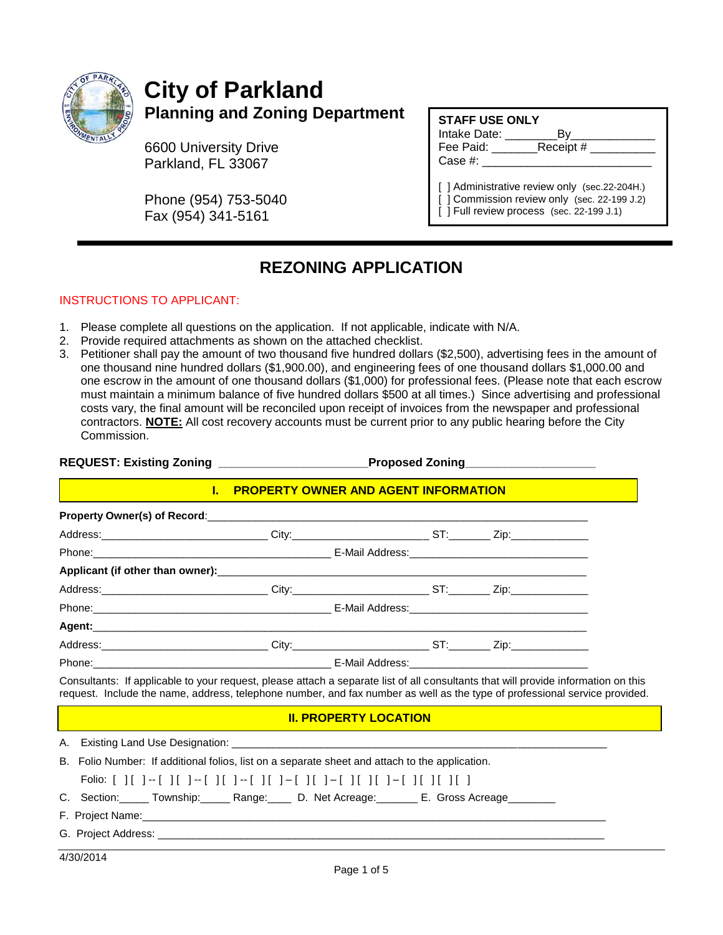

## **City of Parkland Planning and Zoning Department**

6600 University Drive Parkland, FL 33067

Phone (954) 753-5040 Fax (954) 341-5161

#### **STAFF USE ONLY**

Intake Date: \_\_\_\_\_\_\_\_By\_\_\_\_\_\_\_\_\_\_\_\_\_ Fee Paid: Receipt # Case #:

[ ] Administrative review only (sec.22-204H.) [ ] Commission review only (sec. 22-199 J.2) [ ] Full review process (sec. 22-199 J.1)

### **REZONING APPLICATION**

#### INSTRUCTIONS TO APPLICANT:

- 1. Please complete all questions on the application. If not applicable, indicate with N/A.
- 2. Provide required attachments as shown on the attached checklist.
- 3. Petitioner shall pay the amount of two thousand five hundred dollars (\$2,500), advertising fees in the amount of one thousand nine hundred dollars (\$1,900.00), and engineering fees of one thousand dollars \$1,000.00 and one escrow in the amount of one thousand dollars (\$1,000) for professional fees. (Please note that each escrow must maintain a minimum balance of five hundred dollars \$500 at all times.) Since advertising and professional costs vary, the final amount will be reconciled upon receipt of invoices from the newspaper and professional contractors. **NOTE:** All cost recovery accounts must be current prior to any public hearing before the City Commission.

#### REQUEST: Existing Zoning **National Connect Proposed Zoning**

#### **I. PROPERTY OWNER AND AGENT INFORMATION**

| Consultants: If applicable to your request, please attach a separate list of all consultants that will provide information on the |  |  |
|-----------------------------------------------------------------------------------------------------------------------------------|--|--|

Consultants: If applicable to your request, please attach a separate list of all consultants that will provide information on this request. Include the name, address, telephone number, and fax number as well as the type of professional service provided.

#### **II. PROPERTY LOCATION**

A. Existing Land Use Designation:

B. Folio Number: If additional folios, list on a separate sheet and attach to the application.

|--|

- C. Section: Township: Range: D. Net Acreage: E. Gross Acreage
- F. Project Name:
- G. Project Address: \_\_\_\_\_\_\_\_\_\_\_\_\_\_\_\_\_\_\_\_\_\_\_\_\_\_\_\_\_\_\_\_\_\_\_\_\_\_\_\_\_\_\_\_\_\_\_\_\_\_\_\_\_\_\_\_\_\_\_\_\_\_\_\_\_\_\_\_\_\_\_\_\_\_\_
- 4/30/2014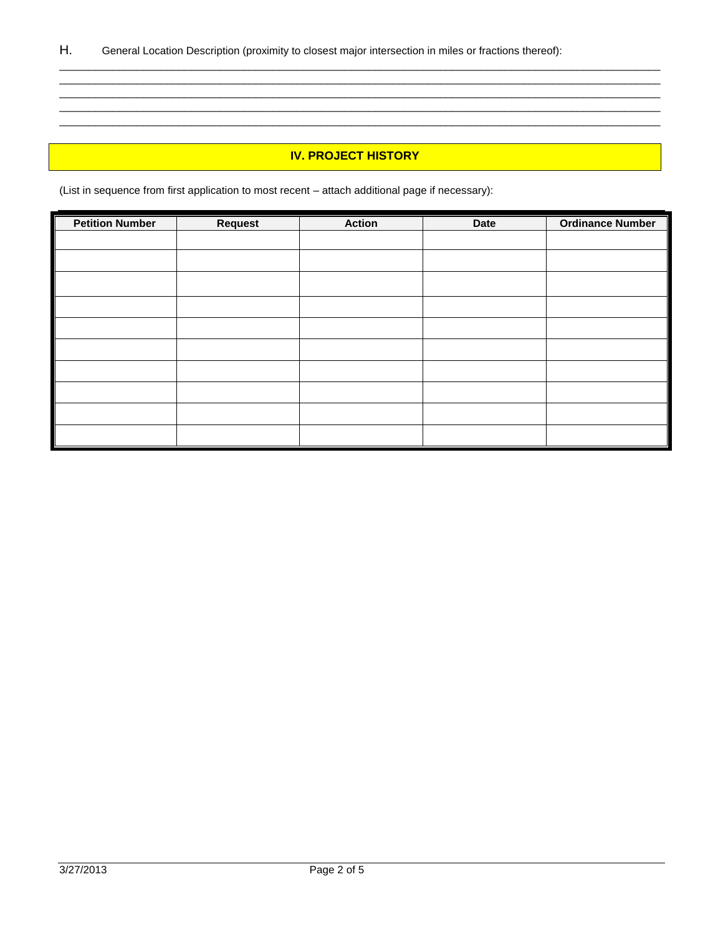#### **IV. PROJECT HISTORY**

\_\_\_\_\_\_\_\_\_\_\_\_\_\_\_\_\_\_\_\_\_\_\_\_\_\_\_\_\_\_\_\_\_\_\_\_\_\_\_\_\_\_\_\_\_\_\_\_\_\_\_\_\_\_\_\_\_\_\_\_\_\_\_\_\_\_\_\_\_\_\_\_\_\_\_\_\_\_\_\_\_\_\_\_\_\_\_\_\_\_\_\_\_\_\_\_\_\_\_\_\_ \_\_\_\_\_\_\_\_\_\_\_\_\_\_\_\_\_\_\_\_\_\_\_\_\_\_\_\_\_\_\_\_\_\_\_\_\_\_\_\_\_\_\_\_\_\_\_\_\_\_\_\_\_\_\_\_\_\_\_\_\_\_\_\_\_\_\_\_\_\_\_\_\_\_\_\_\_\_\_\_\_\_\_\_\_\_\_\_\_\_\_\_\_\_\_\_\_\_\_\_\_ \_\_\_\_\_\_\_\_\_\_\_\_\_\_\_\_\_\_\_\_\_\_\_\_\_\_\_\_\_\_\_\_\_\_\_\_\_\_\_\_\_\_\_\_\_\_\_\_\_\_\_\_\_\_\_\_\_\_\_\_\_\_\_\_\_\_\_\_\_\_\_\_\_\_\_\_\_\_\_\_\_\_\_\_\_\_\_\_\_\_\_\_\_\_\_\_\_\_\_\_\_ \_\_\_\_\_\_\_\_\_\_\_\_\_\_\_\_\_\_\_\_\_\_\_\_\_\_\_\_\_\_\_\_\_\_\_\_\_\_\_\_\_\_\_\_\_\_\_\_\_\_\_\_\_\_\_\_\_\_\_\_\_\_\_\_\_\_\_\_\_\_\_\_\_\_\_\_\_\_\_\_\_\_\_\_\_\_\_\_\_\_\_\_\_\_\_\_\_\_\_\_\_ \_\_\_\_\_\_\_\_\_\_\_\_\_\_\_\_\_\_\_\_\_\_\_\_\_\_\_\_\_\_\_\_\_\_\_\_\_\_\_\_\_\_\_\_\_\_\_\_\_\_\_\_\_\_\_\_\_\_\_\_\_\_\_\_\_\_\_\_\_\_\_\_\_\_\_\_\_\_\_\_\_\_\_\_\_\_\_\_\_\_\_\_\_\_\_\_\_\_\_\_\_

(List in sequence from first application to most recent – attach additional page if necessary):

| <b>Petition Number</b> | <b>Request</b> | <b>Action</b> | <b>Date</b> | <b>Ordinance Number</b> |
|------------------------|----------------|---------------|-------------|-------------------------|
|                        |                |               |             |                         |
|                        |                |               |             |                         |
|                        |                |               |             |                         |
|                        |                |               |             |                         |
|                        |                |               |             |                         |
|                        |                |               |             |                         |
|                        |                |               |             |                         |
|                        |                |               |             |                         |
|                        |                |               |             |                         |
|                        |                |               |             |                         |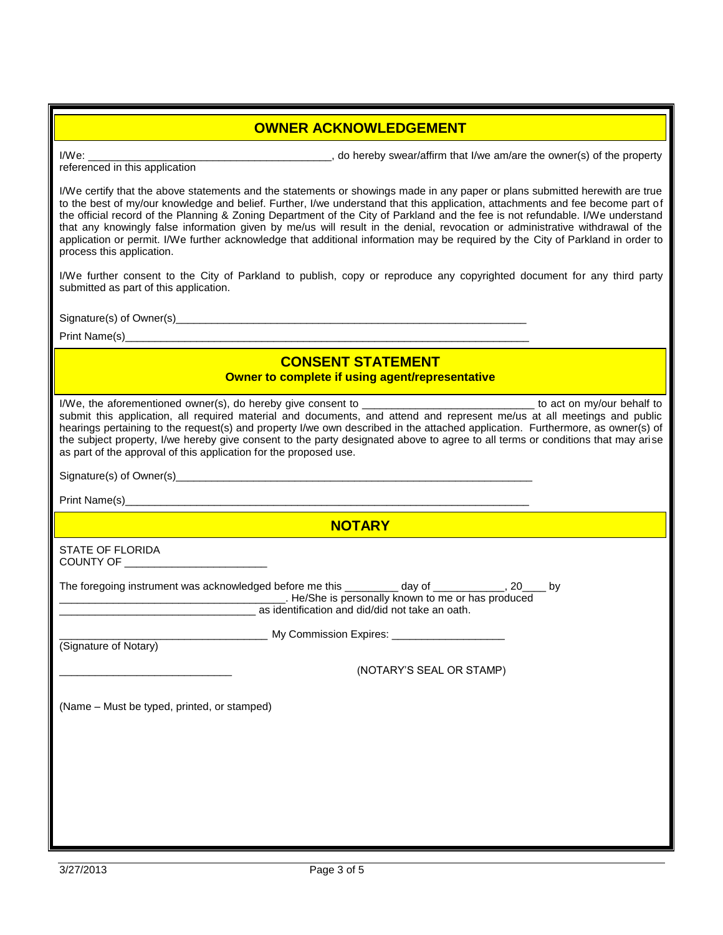#### **OWNER ACKNOWLEDGEMENT**

I/We: \_\_\_\_\_\_\_\_\_\_\_\_\_\_\_\_\_\_\_\_\_\_\_\_\_\_\_\_\_\_\_\_\_\_\_\_\_\_\_\_\_, do hereby swear/affirm that I/we am/are the owner(s) of the property referenced in this application

I/We certify that the above statements and the statements or showings made in any paper or plans submitted herewith are true to the best of my/our knowledge and belief. Further, I/we understand that this application, attachments and fee become part of the official record of the Planning & Zoning Department of the City of Parkland and the fee is not refundable. I/We understand that any knowingly false information given by me/us will result in the denial, revocation or administrative withdrawal of the application or permit. I/We further acknowledge that additional information may be required by the City of Parkland in order to process this application.

I/We further consent to the City of Parkland to publish, copy or reproduce any copyrighted document for any third party submitted as part of this application.

Signature(s) of Owner(s)\_\_\_\_\_\_\_\_\_\_\_\_\_\_\_\_\_\_\_\_\_\_\_\_\_\_\_\_\_\_\_\_\_\_\_\_\_\_\_\_\_\_\_\_\_\_\_\_\_\_\_\_\_\_\_\_\_\_\_

Print Name(s)

#### **CONSENT STATEMENT**

**Owner to complete if using agent/representative**

| I/We, the aforementioned owner(s), do hereby give consent to _________________________________ to act on my/our behalf to<br>submit this application, all required material and documents, and attend and represent me/us at all meetings and public<br>hearings pertaining to the request(s) and property I/we own described in the attached application. Furthermore, as owner(s) of<br>the subject property, I/we hereby give consent to the party designated above to agree to all terms or conditions that may arise<br>as part of the approval of this application for the proposed use. |
|------------------------------------------------------------------------------------------------------------------------------------------------------------------------------------------------------------------------------------------------------------------------------------------------------------------------------------------------------------------------------------------------------------------------------------------------------------------------------------------------------------------------------------------------------------------------------------------------|
|                                                                                                                                                                                                                                                                                                                                                                                                                                                                                                                                                                                                |
|                                                                                                                                                                                                                                                                                                                                                                                                                                                                                                                                                                                                |
| <b>NOTARY</b>                                                                                                                                                                                                                                                                                                                                                                                                                                                                                                                                                                                  |
| <b>STATE OF FLORIDA</b><br>COUNTY OF ________________________                                                                                                                                                                                                                                                                                                                                                                                                                                                                                                                                  |
| The foregoing instrument was acknowledged before me this __________ day of ____________, 20____ by<br><b>Meta</b> Bersonally known to me or has produced<br>as identification and did/did not take an oath.                                                                                                                                                                                                                                                                                                                                                                                    |
| (Signature of Notary)                                                                                                                                                                                                                                                                                                                                                                                                                                                                                                                                                                          |
| (NOTARY'S SEAL OR STAMP)                                                                                                                                                                                                                                                                                                                                                                                                                                                                                                                                                                       |
| (Name – Must be typed, printed, or stamped)                                                                                                                                                                                                                                                                                                                                                                                                                                                                                                                                                    |
|                                                                                                                                                                                                                                                                                                                                                                                                                                                                                                                                                                                                |
|                                                                                                                                                                                                                                                                                                                                                                                                                                                                                                                                                                                                |
|                                                                                                                                                                                                                                                                                                                                                                                                                                                                                                                                                                                                |
|                                                                                                                                                                                                                                                                                                                                                                                                                                                                                                                                                                                                |
|                                                                                                                                                                                                                                                                                                                                                                                                                                                                                                                                                                                                |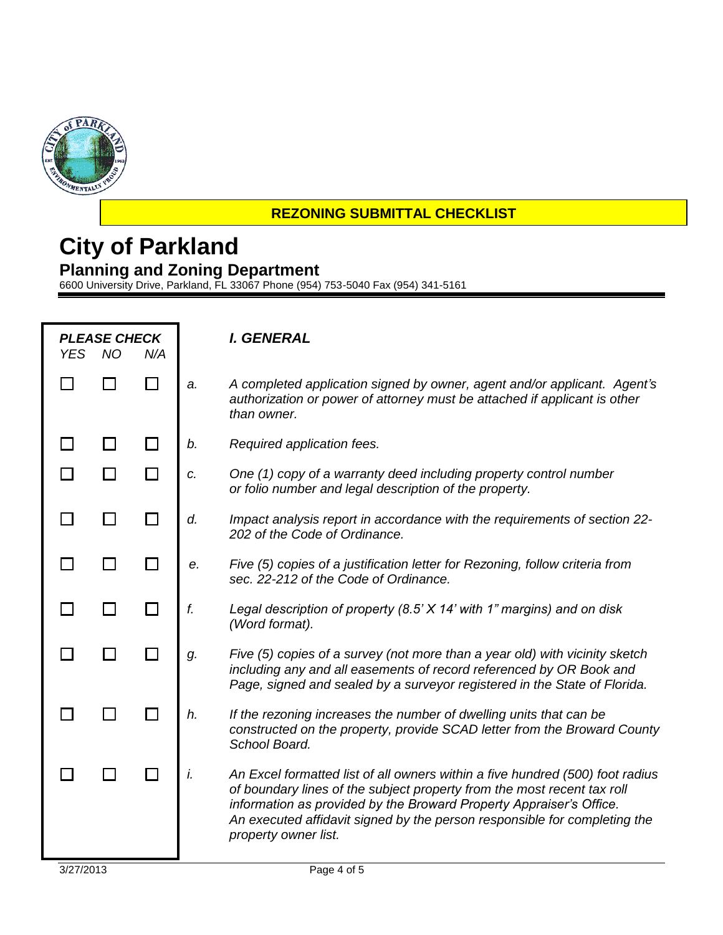

#### **REZONING SUBMITTAL CHECKLIST**

## **City of Parkland Planning and Zoning Department**

6600 University Drive, Parkland, FL 33067 Phone (954) 753-5040 Fax (954) 341-5161

| <b>YES</b> | <b>PLEASE CHECK</b><br><b>NO</b> | N/A |    | I. GENERAL                                                                                                                                                                                                                                                                                                                           |
|------------|----------------------------------|-----|----|--------------------------------------------------------------------------------------------------------------------------------------------------------------------------------------------------------------------------------------------------------------------------------------------------------------------------------------|
|            |                                  |     | a. | A completed application signed by owner, agent and/or applicant. Agent's<br>authorization or power of attorney must be attached if applicant is other<br>than owner.                                                                                                                                                                 |
|            |                                  |     | b. | Required application fees.                                                                                                                                                                                                                                                                                                           |
|            |                                  |     | c. | One (1) copy of a warranty deed including property control number<br>or folio number and legal description of the property.                                                                                                                                                                                                          |
|            |                                  |     | d. | Impact analysis report in accordance with the requirements of section 22-<br>202 of the Code of Ordinance.                                                                                                                                                                                                                           |
|            |                                  |     | е. | Five (5) copies of a justification letter for Rezoning, follow criteria from<br>sec. 22-212 of the Code of Ordinance.                                                                                                                                                                                                                |
|            |                                  |     | f. | Legal description of property (8.5' X 14' with 1" margins) and on disk<br>(Word format).                                                                                                                                                                                                                                             |
|            |                                  |     | g. | Five (5) copies of a survey (not more than a year old) with vicinity sketch<br>including any and all easements of record referenced by OR Book and<br>Page, signed and sealed by a surveyor registered in the State of Florida.                                                                                                      |
|            |                                  |     | h. | If the rezoning increases the number of dwelling units that can be<br>constructed on the property, provide SCAD letter from the Broward County<br>School Board.                                                                                                                                                                      |
|            |                                  |     | i. | An Excel formatted list of all owners within a five hundred (500) foot radius<br>of boundary lines of the subject property from the most recent tax roll<br>information as provided by the Broward Property Appraiser's Office.<br>An executed affidavit signed by the person responsible for completing the<br>property owner list. |